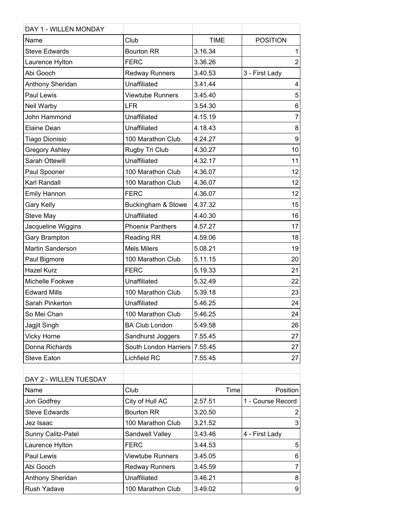| DAY 1 - WILLEN MONDAY  |                         |             |                   |
|------------------------|-------------------------|-------------|-------------------|
| Name                   | Club                    | <b>TIME</b> | <b>POSITION</b>   |
| <b>Steve Edwards</b>   | <b>Bourton RR</b>       | 3.16.34     | 1                 |
| Laurence Hylton        | <b>FERC</b>             | 3.36.26     | $\overline{2}$    |
| Abi Gooch              | <b>Redway Runners</b>   | 3.40.53     | 3 - First Lady    |
| Anthony Sheridan       | Unaffiliated            | 3.41.44     | 4                 |
| Paul Lewis             | <b>Viewtube Runners</b> | 3.45.40     | 5                 |
| Neil Warby             | <b>LFR</b>              | 3.54.30     | 6                 |
| John Hammond           | Unaffiliated            | 4.15.19     | $\overline{7}$    |
| Elaine Dean            | Unaffiliated            | 4.18.43     | 8                 |
| Tiago Dionisio         | 100 Marathon Club       | 4.24.27     | $\boldsymbol{9}$  |
| <b>Gregory Ashley</b>  | Rugby Tri Club          | 4.30.27     | 10                |
| Sarah Ottewill         | Unaffiliated            | 4.32.17     | 11                |
| Paul Spooner           | 100 Marathon Club       | 4.36.07     | 12                |
| Karl Randall           | 100 Marathon Club       | 4.36.07     | 12                |
| <b>Emily Hannon</b>    | <b>FERC</b>             | 4.36.07     | 12                |
| Gary Kelly             | Buckingham & Stowe      | 4.37.32     | 15                |
| Steve May              | Unaffiliated            | 4.40.30     | 16                |
| Jacqueline Wiggins     | <b>Phoenix Panthers</b> | 4.57.27     | 17                |
| Gary Brampton          | <b>Reading RR</b>       | 4.59.06     | 18                |
| Martin Sanderson       | <b>Mels Milers</b>      | 5.08.21     | 19                |
| Paul Bigmore           | 100 Marathon Club       | 5.11.15     | 20                |
| <b>Hazel Kurz</b>      | <b>FERC</b>             | 5.19.33     | 21                |
| Michelle Fookwe        | Unaffiliated            | 5.32.49     | 22                |
| <b>Edward Mills</b>    | 100 Marathon Club       | 5.39.18     | 23                |
| Sarah Pinkerton        | Unaffiliated            | 5.46.25     | 24                |
| So Mei Chan            | 100 Marathon Club       | 5.46.25     | 24                |
| Jagjit Singh           | <b>BA Club London</b>   | 5.49.58     | 26                |
| <b>Vicky Horne</b>     | Sandhurst Joggers       | 7.55.45     | 27                |
| Donna Richards         | South London Harriers   | 7.55.45     | 27                |
| <b>Steve Eaton</b>     | Lichfield RC            | 7.55.45     | 27                |
|                        |                         |             |                   |
| DAY 2 - WILLEN TUESDAY |                         |             |                   |
| Name                   | Club                    | Time        | Position          |
| Jon Godfrey            | City of Hull AC         | 2.57.51     | 1 - Course Record |
| <b>Steve Edwards</b>   | <b>Bourton RR</b>       | 3.20.50     |                   |
| Jez Isaac              | 100 Marathon Club       | 3.21.52     | 3                 |
| Sunny Calitz-Patel     | Sandwell Valley         | 3.43.46     | 4 - First Lady    |
| Laurence Hylton        | <b>FERC</b>             | 3.44.53     | 5                 |
| Paul Lewis             | <b>Viewtube Runners</b> | 3.45.05     | 6                 |
| Abi Gooch              | <b>Redway Runners</b>   | 3.45.59     | 7                 |
| Anthony Sheridan       | Unaffiliated            | 3.46.21     | 8                 |
| Rush Yadave            | 100 Marathon Club       | 3.49.02     | $\boldsymbol{9}$  |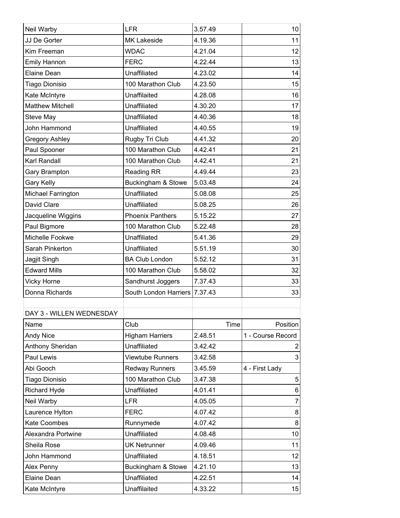| Neil Warby               | <b>LFR</b>              | 3.57.49 | 10                |
|--------------------------|-------------------------|---------|-------------------|
| JJ De Gorter             | <b>MK Lakeside</b>      | 4.19.36 | 11                |
| Kim Freeman              | <b>WDAC</b>             | 4.21.04 | 12                |
| <b>Emily Hannon</b>      | <b>FERC</b>             | 4.22.44 | 13                |
| Elaine Dean              | Unaffiliated            | 4.23.02 | 14                |
| Tiago Dionisio           | 100 Marathon Club       | 4.23.50 | 15                |
| Kate McIntyre            | Unaffilaited            | 4.28.08 | 16                |
| <b>Matthew Mitchell</b>  | Unaffiliated            | 4.30.20 | 17                |
| Steve May                | Unaffiliated            | 4.40.36 | 18                |
| John Hammond             | Unaffiliated            | 4.40.55 | 19                |
| <b>Gregory Ashley</b>    | Rugby Tri Club          | 4.41.32 | 20                |
| Paul Spooner             | 100 Marathon Club       | 4.42.41 | 21                |
| Karl Randall             | 100 Marathon Club       | 4.42.41 | 21                |
| Gary Brampton            | <b>Reading RR</b>       | 4.49.44 | 23                |
| Gary Kelly               | Buckingham & Stowe      | 5.03.48 | 24                |
| Michael Farrington       | Unaffiliated            | 5.08.08 | 25                |
| David Clare              | Unaffiliated            | 5.08.25 | 26                |
| Jacqueline Wiggins       | <b>Phoenix Panthers</b> | 5.15.22 | 27                |
| Paul Bigmore             | 100 Marathon Club       | 5.22.48 | 28                |
| Michelle Fookwe          | Unaffiliated            | 5.41.36 | 29                |
| Sarah Pinkerton          | Unaffiliated            | 5.51.19 | 30                |
| Jagjit Singh             | <b>BA Club London</b>   | 5.52.12 | 31                |
| <b>Edward Mills</b>      | 100 Marathon Club       | 5.58.02 | 32                |
| <b>Vicky Horne</b>       | Sandhurst Joggers       | 7.37.43 | 33                |
| Donna Richards           | South London Harriers   | 7.37.43 | 33                |
|                          |                         |         |                   |
| DAY 3 - WILLEN WEDNESDAY |                         |         |                   |
| Name                     | Club                    | Time    | Position          |
| Andy Nice                | <b>Higham Harriers</b>  | 2.48.51 | 1 - Course Record |
| Anthony Sheridan         | Unaffiliated            | 3.42.42 | 2                 |
| Paul Lewis               | <b>Viewtube Runners</b> | 3.42.58 | 3                 |
| Abi Gooch                | <b>Redway Runners</b>   | 3.45.59 | 4 - First Lady    |
| Tiago Dionisio           | 100 Marathon Club       | 3.47.38 | 5                 |
| Richard Hyde             | Unaffiliated            | 4.01.41 | 6                 |
| Neil Warby               | <b>LFR</b>              | 4.05.05 | $\overline{7}$    |
| Laurence Hylton          | <b>FERC</b>             | 4.07.42 | 8                 |
| Kate Coombes             | Runnymede               | 4.07.42 | 8                 |
| Alexandra Portwine       | Unaffiliated            | 4.08.48 | 10                |
| Sheila Rose              | <b>UK Netrunner</b>     | 4.09.46 | 11                |
| John Hammond             | Unaffiliated            | 4.18.51 | 12                |
| Alex Penny               | Buckingham & Stowe      | 4.21.10 | 13                |
| Elaine Dean              | Unaffiliated            | 4.22.51 | 14                |
| Kate McIntyre            | Unaffilaited            | 4.33.22 | 15                |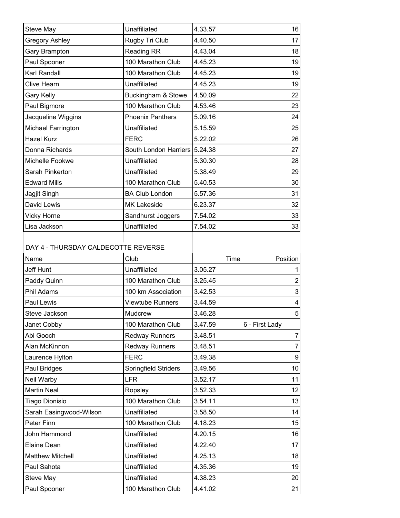| Steve May                           | Unaffiliated                  | 4.33.57 | 16               |
|-------------------------------------|-------------------------------|---------|------------------|
| <b>Gregory Ashley</b>               | Rugby Tri Club                | 4.40.50 | 17               |
| Gary Brampton                       | <b>Reading RR</b>             | 4.43.04 | 18               |
| Paul Spooner                        | 100 Marathon Club             | 4.45.23 | 19               |
| Karl Randall                        | 100 Marathon Club             | 4.45.23 | 19               |
| Clive Hearn                         | Unaffiliated                  | 4.45.23 | 19               |
| <b>Gary Kelly</b>                   | Buckingham & Stowe            | 4.50.09 | 22               |
| Paul Bigmore                        | 100 Marathon Club             | 4.53.46 | 23               |
| Jacqueline Wiggins                  | <b>Phoenix Panthers</b>       | 5.09.16 | 24               |
| Michael Farrington                  | Unaffiliated                  | 5.15.59 | 25               |
| <b>Hazel Kurz</b>                   | <b>FERC</b>                   | 5.22.02 | 26               |
| Donna Richards                      | South London Harriers 5.24.38 |         | 27               |
| Michelle Fookwe                     | Unaffiliated                  | 5.30.30 | 28               |
| Sarah Pinkerton                     | Unaffiliated                  | 5.38.49 | 29               |
| <b>Edward Mills</b>                 | 100 Marathon Club             | 5.40.53 | 30               |
| Jagjit Singh                        | <b>BA Club London</b>         | 5.57.36 | 31               |
| David Lewis                         | <b>MK Lakeside</b>            | 6.23.37 | 32               |
| <b>Vicky Horne</b>                  | Sandhurst Joggers             | 7.54.02 | 33               |
| Lisa Jackson                        | Unaffiliated                  | 7.54.02 | 33               |
|                                     |                               |         |                  |
| DAY 4 - THURSDAY CALDECOTTE REVERSE |                               |         |                  |
| Name                                | Club                          | Time    | Position         |
| Jeff Hunt                           | Unaffiliated                  | 3.05.27 |                  |
| Paddy Quinn                         | 100 Marathon Club             | 3.25.45 | $\overline{2}$   |
| Phil Adams                          | 100 km Association            | 3.42.53 | 3                |
| Paul Lewis                          | <b>Viewtube Runners</b>       | 3.44.59 | 4                |
| Steve Jackson                       | Mudcrew                       | 3.46.28 | 5                |
| Janet Cobby                         | 100 Marathon Club             | 3.47.59 | 6 - First Lady   |
| Abi Gooch                           | <b>Redway Runners</b>         | 3.48.51 | $\overline{7}$   |
| Alan McKinnon                       | <b>Redway Runners</b>         | 3.48.51 | $\overline{7}$   |
| Laurence Hylton                     | <b>FERC</b>                   | 3.49.38 | $\boldsymbol{9}$ |
| Paul Bridges                        | Springfield Striders          | 3.49.56 | 10               |
| Neil Warby                          | <b>LFR</b>                    | 3.52.17 | 11               |
| <b>Martin Neal</b>                  | Ropsley                       | 3.52.33 | 12               |
| Tiago Dionisio                      | 100 Marathon Club             | 3.54.11 | 13               |
| Sarah Easingwood-Wilson             | Unaffiliated                  | 3.58.50 | 14               |
| Peter Finn                          | 100 Marathon Club             | 4.18.23 | 15               |
| John Hammond                        | Unaffiliated                  | 4.20.15 | 16               |
| Elaine Dean                         | Unaffiliated                  | 4.22.40 | 17               |
| <b>Matthew Mitchell</b>             | Unaffiliated                  | 4.25.13 | 18               |
| Paul Sahota                         | Unaffiliated                  | 4.35.36 | 19               |
| Steve May                           | Unaffiliated                  | 4.38.23 | 20               |
| Paul Spooner                        | 100 Marathon Club             | 4.41.02 | 21               |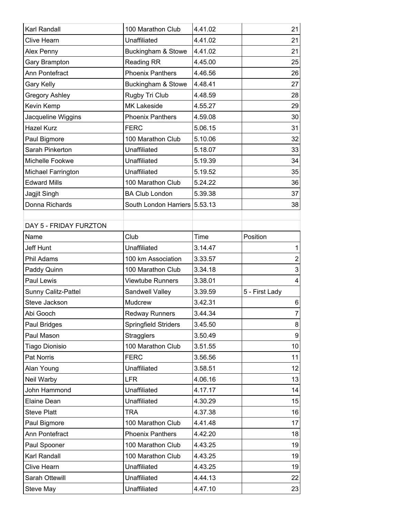| Karl Randall           | 100 Marathon Club             | 4.41.02 | 21             |
|------------------------|-------------------------------|---------|----------------|
| <b>Clive Hearn</b>     | Unaffiliated                  | 4.41.02 | 21             |
| Alex Penny             | Buckingham & Stowe            | 4.41.02 | 21             |
| Gary Brampton          | Reading RR                    | 4.45.00 | 25             |
| Ann Pontefract         | <b>Phoenix Panthers</b>       | 4.46.56 | 26             |
| <b>Gary Kelly</b>      | Buckingham & Stowe            | 4.48.41 | 27             |
| <b>Gregory Ashley</b>  | Rugby Tri Club                | 4.48.59 | 28             |
| Kevin Kemp             | <b>MK Lakeside</b>            | 4.55.27 | 29             |
| Jacqueline Wiggins     | <b>Phoenix Panthers</b>       | 4.59.08 | 30             |
| <b>Hazel Kurz</b>      | <b>FERC</b>                   | 5.06.15 | 31             |
| Paul Bigmore           | 100 Marathon Club             | 5.10.06 | 32             |
| Sarah Pinkerton        | Unaffiliated                  | 5.18.07 | 33             |
| Michelle Fookwe        | Unaffiliated                  | 5.19.39 | 34             |
| Michael Farrington     | Unaffiliated                  | 5.19.52 | 35             |
| <b>Edward Mills</b>    | 100 Marathon Club             | 5.24.22 | 36             |
| Jagjit Singh           | <b>BA Club London</b>         | 5.39.38 | 37             |
| Donna Richards         | South London Harriers 5.53.13 |         | 38             |
|                        |                               |         |                |
| DAY 5 - FRIDAY FURZTON |                               |         |                |
| Name                   | Club                          | Time    | Position       |
| Jeff Hunt              | Unaffiliated                  | 3.14.47 | 1              |
| Phil Adams             | 100 km Association            | 3.33.57 | $\overline{c}$ |
| Paddy Quinn            | 100 Marathon Club             | 3.34.18 | 3              |
| Paul Lewis             | <b>Viewtube Runners</b>       | 3.38.01 | $\overline{4}$ |
| Sunny Calitz-Pattel    | Sandwell Valley               | 3.39.59 | 5 - First Lady |
| Steve Jackson          | Mudcrew                       | 3.42.31 | 6              |
| Abi Gooch              | <b>Redway Runners</b>         | 3.44.34 | $\overline{7}$ |
| Paul Bridges           | Springfield Striders          | 3.45.50 | 8              |
| Paul Mason             | <b>Stragglers</b>             | 3.50.49 | 9              |
| Tiago Dionisio         | 100 Marathon Club             | 3.51.55 | 10             |
| Pat Norris             | <b>FERC</b>                   | 3.56.56 | 11             |
| Alan Young             | Unaffiliated                  | 3.58.51 | 12             |
| Neil Warby             | <b>LFR</b>                    | 4.06.16 | 13             |
| John Hammond           | Unaffiliated                  | 4.17.17 | 14             |
| Elaine Dean            | <b>Unaffiliated</b>           | 4.30.29 | 15             |
| <b>Steve Platt</b>     | <b>TRA</b>                    | 4.37.38 | 16             |
| Paul Bigmore           | 100 Marathon Club             | 4.41.48 | 17             |
| Ann Pontefract         | <b>Phoenix Panthers</b>       | 4.42.20 | 18             |
| Paul Spooner           | 100 Marathon Club             | 4.43.25 | 19             |
| Karl Randall           | 100 Marathon Club             | 4.43.25 | 19             |
| <b>Clive Hearn</b>     | Unaffiliated                  | 4.43.25 | 19             |
| Sarah Ottewill         | Unaffiliated                  | 4.44.13 | 22             |
| Steve May              | Unaffiliated                  | 4.47.10 | 23             |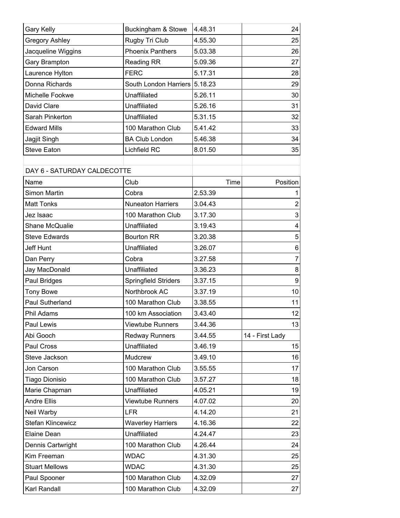| <b>Gary Kelly</b>           | Buckingham & Stowe            | 4.48.31 | 24                      |
|-----------------------------|-------------------------------|---------|-------------------------|
| <b>Gregory Ashley</b>       | Rugby Tri Club                | 4.55.30 | 25                      |
| Jacqueline Wiggins          | <b>Phoenix Panthers</b>       | 5.03.38 | 26                      |
| Gary Brampton               | <b>Reading RR</b>             | 5.09.36 | 27                      |
| Laurence Hylton             | <b>FERC</b>                   | 5.17.31 | 28                      |
| Donna Richards              | South London Harriers 5.18.23 |         | 29                      |
| Michelle Fookwe             | Unaffiliated                  | 5.26.11 | 30                      |
| David Clare                 | Unaffiliated                  | 5.26.16 | 31                      |
| Sarah Pinkerton             | Unaffiliated                  | 5.31.15 | 32                      |
| <b>Edward Mills</b>         | 100 Marathon Club             | 5.41.42 | 33                      |
| Jagjit Singh                | <b>BA Club London</b>         | 5.46.38 | 34                      |
| <b>Steve Eaton</b>          | Lichfield RC                  | 8.01.50 | 35                      |
|                             |                               |         |                         |
| DAY 6 - SATURDAY CALDECOTTE |                               |         |                         |
| Name                        | Club                          | Time    | Position                |
| <b>Simon Martin</b>         | Cobra                         | 2.53.39 |                         |
| <b>Matt Tonks</b>           | <b>Nuneaton Harriers</b>      | 3.04.43 | $\overline{2}$          |
| Jez Isaac                   | 100 Marathon Club             | 3.17.30 | 3                       |
| <b>Shane McQualie</b>       | Unaffiliated                  | 3.19.43 | $\overline{\mathbf{4}}$ |
| <b>Steve Edwards</b>        | <b>Bourton RR</b>             | 3.20.38 | 5                       |
| Jeff Hunt                   | Unaffiliated                  | 3.26.07 | 6                       |
| Dan Perry                   | Cobra                         | 3.27.58 | $\overline{7}$          |
| Jay MacDonald               | Unaffiliated                  | 3.36.23 | 8                       |
| Paul Bridges                | Springfield Striders          | 3.37.15 | 9                       |
| <b>Tony Bowe</b>            | Northbrook AC                 | 3.37.19 | 10                      |
| Paul Sutherland             | 100 Marathon Club             | 3.38.55 | 11                      |
| <b>Phil Adams</b>           | 100 km Association            | 3.43.40 | 12                      |
| Paul Lewis                  | <b>Viewtube Runners</b>       | 3.44.36 | 13                      |
| Abi Gooch                   | <b>Redway Runners</b>         | 3.44.55 | 14 - First Lady         |
| Paul Cross                  | Unaffiliated                  | 3.46.19 | 15                      |
| Steve Jackson               | Mudcrew                       | 3.49.10 | 16                      |
| Jon Carson                  | 100 Marathon Club             | 3.55.55 | 17                      |
| Tiago Dionisio              | 100 Marathon Club             | 3.57.27 | 18                      |
| Marie Chapman               | Unaffiliated                  | 4.05.21 | 19                      |
| Andre Ellis                 | <b>Viewtube Runners</b>       | 4.07.02 | 20                      |
| Neil Warby                  | <b>LFR</b>                    | 4.14.20 | 21                      |
| <b>Stefan Klincewicz</b>    | <b>Waverley Harriers</b>      | 4.16.36 | 22                      |
| Elaine Dean                 | Unaffiliated                  | 4.24.47 | 23                      |
| Dennis Cartwright           | 100 Marathon Club             | 4.26.44 | 24                      |
| Kim Freeman                 | <b>WDAC</b>                   | 4.31.30 | 25                      |
| <b>Stuart Mellows</b>       | <b>WDAC</b>                   | 4.31.30 | 25                      |
| Paul Spooner                | 100 Marathon Club             | 4.32.09 | 27                      |
| Karl Randall                | 100 Marathon Club             | 4.32.09 | 27                      |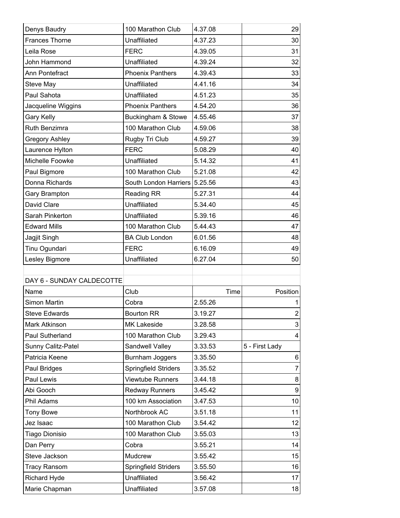| Denys Baudry              | 100 Marathon Club             | 4.37.08 | 29                        |
|---------------------------|-------------------------------|---------|---------------------------|
| <b>Frances Thorne</b>     | Unaffiliated                  | 4.37.23 | 30                        |
| Leila Rose                | <b>FERC</b>                   | 4.39.05 | 31                        |
| John Hammond              | Unaffiliated                  | 4.39.24 | 32                        |
| Ann Pontefract            | <b>Phoenix Panthers</b>       | 4.39.43 | 33                        |
| Steve May                 | Unaffiliated                  | 4.41.16 | 34                        |
| Paul Sahota               | Unaffiliated                  | 4.51.23 | 35                        |
| Jacqueline Wiggins        | <b>Phoenix Panthers</b>       | 4.54.20 | 36                        |
| <b>Gary Kelly</b>         | Buckingham & Stowe            | 4.55.46 | 37                        |
| Ruth Benzimra             | 100 Marathon Club             | 4.59.06 | 38                        |
| <b>Gregory Ashley</b>     | Rugby Tri Club                | 4.59.27 | 39                        |
| Laurence Hylton           | <b>FERC</b>                   | 5.08.29 | 40                        |
| Michelle Foowke           | Unaffiliated                  | 5.14.32 | 41                        |
| Paul Bigmore              | 100 Marathon Club             | 5.21.08 | 42                        |
| Donna Richards            | South London Harriers 5.25.56 |         | 43                        |
| Gary Brampton             | <b>Reading RR</b>             | 5.27.31 | 44                        |
| David Clare               | Unaffiliated                  | 5.34.40 | 45                        |
| Sarah Pinkerton           | Unaffiliated                  | 5.39.16 | 46                        |
| <b>Edward Mills</b>       | 100 Marathon Club             | 5.44.43 | 47                        |
| Jagjit Singh              | <b>BA Club London</b>         | 6.01.56 | 48                        |
| Tinu Ogundari             | <b>FERC</b>                   | 6.16.09 | 49                        |
| Lesley Bigmore            | Unaffiliated                  | 6.27.04 | 50                        |
|                           |                               |         |                           |
| DAY 6 - SUNDAY CALDECOTTE |                               |         |                           |
| Name                      | Club                          | Time    | Position                  |
| <b>Simon Martin</b>       | Cobra                         | 2.55.26 |                           |
| <b>Steve Edwards</b>      | <b>Bourton RR</b>             | 3.19.27 | $\overline{2}$            |
| Mark Atkinson             | <b>MK Lakeside</b>            | 3.28.58 | $\ensuremath{\mathsf{3}}$ |
| Paul Sutherland           | 100 Marathon Club             | 3.29.43 | 4                         |
| Sunny Calitz-Patel        | Sandwell Valley               | 3.33.53 | 5 - First Lady            |
| Patricia Keene            | Burnham Joggers               | 3.35.50 | 6                         |
| Paul Bridges              | Springfield Striders          | 3.35.52 | $\overline{7}$            |
| Paul Lewis                | <b>Viewtube Runners</b>       | 3.44.18 | 8                         |
| Abi Gooch                 | <b>Redway Runners</b>         | 3.45.42 | 9                         |
| Phil Adams                | 100 km Association            | 3.47.53 | 10                        |
| <b>Tony Bowe</b>          | Northbrook AC                 | 3.51.18 | 11                        |
| Jez Isaac                 | 100 Marathon Club             | 3.54.42 | 12                        |
| Tiago Dionisio            | 100 Marathon Club             | 3.55.03 | 13                        |
| Dan Perry                 | Cobra                         | 3.55.21 | 14                        |
| Steve Jackson             |                               | 3.55.42 | 15                        |
|                           | Mudcrew                       |         |                           |
| <b>Tracy Ransom</b>       | Springfield Striders          | 3.55.50 | 16                        |
| Richard Hyde              | Unaffiliated                  | 3.56.42 | 17                        |